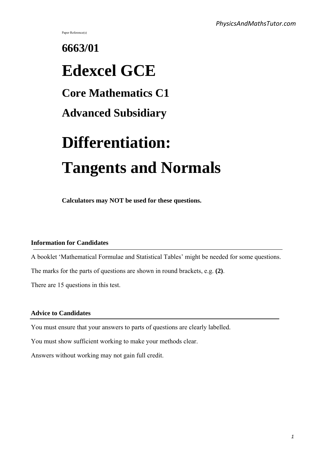Paper Reference(s)

# **6663/01 Edexcel GCE Core Mathematics C1 Advanced Subsidiary Differentiation: Tangents and Normals**

**Calculators may NOT be used for these questions.**

# **Information for Candidates**

A booklet 'Mathematical Formulae and Statistical Tables' might be needed for some questions.

The marks for the parts of questions are shown in round brackets, e.g. **(2)**.

There are 15 questions in this test.

# **Advice to Candidates**

You must ensure that your answers to parts of questions are clearly labelled.

You must show sufficient working to make your methods clear.

Answers without working may not gain full credit.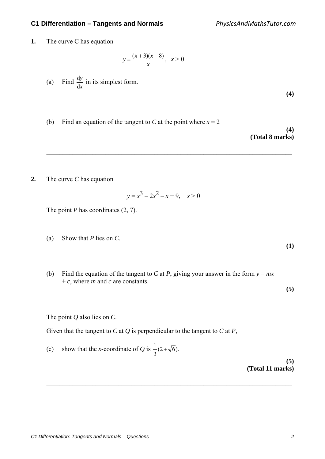**1.** The curve C has equation

$$
y = \frac{(x+3)(x-8)}{x}, \ \ x > 0
$$

(a) Find *x y* d  $\frac{dy}{dx}$  in its simplest form.

**(4)**

**(1)** 

**(5)** 

(b) Find an equation of the tangent to *C* at the point where  $x = 2$ 

**(4) (Total 8 marks)**

**2.** The curve *C* has equation

$$
y = x^3 - 2x^2 - x + 9, \quad x > 0
$$

 $\mathcal{L}_\text{max} = \frac{1}{2} \sum_{i=1}^{n} \frac{1}{2} \sum_{i=1}^{n} \frac{1}{2} \sum_{i=1}^{n} \frac{1}{2} \sum_{i=1}^{n} \frac{1}{2} \sum_{i=1}^{n} \frac{1}{2} \sum_{i=1}^{n} \frac{1}{2} \sum_{i=1}^{n} \frac{1}{2} \sum_{i=1}^{n} \frac{1}{2} \sum_{i=1}^{n} \frac{1}{2} \sum_{i=1}^{n} \frac{1}{2} \sum_{i=1}^{n} \frac{1}{2} \sum_{i=1}^{n} \frac{1$ 

The point *P* has coordinates (2, 7).

- (a) Show that *P* lies on *C*.
- (b) Find the equation of the tangent to *C* at *P*, giving your answer in the form  $y = mx$ + *c*, where *m* and *c* are constants.

The point *Q* also lies on *C*.

Given that the tangent to *C* at *Q* is perpendicular to the tangent to *C* at *P*,

(c) show that the *x*-coordinate of *Q* is  $\frac{1}{3}(2+\sqrt{6})$ .

 $\mathcal{L}_\text{max} = \frac{1}{2} \sum_{i=1}^{n} \frac{1}{2} \sum_{i=1}^{n} \frac{1}{2} \sum_{i=1}^{n} \frac{1}{2} \sum_{i=1}^{n} \frac{1}{2} \sum_{i=1}^{n} \frac{1}{2} \sum_{i=1}^{n} \frac{1}{2} \sum_{i=1}^{n} \frac{1}{2} \sum_{i=1}^{n} \frac{1}{2} \sum_{i=1}^{n} \frac{1}{2} \sum_{i=1}^{n} \frac{1}{2} \sum_{i=1}^{n} \frac{1}{2} \sum_{i=1}^{n} \frac{1$ 

**(5) (Total 11 marks)**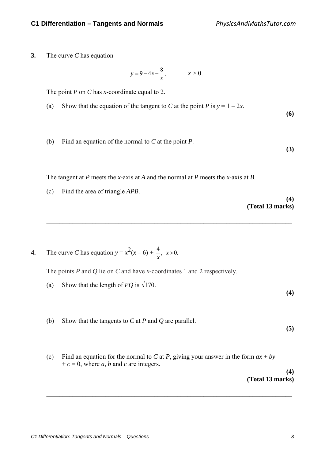**3.** The curve *C* has equation

$$
y = 9-4x-\frac{8}{x},
$$
  $x > 0.$ 

The point *P* on *C* has *x*-coordinate equal to 2.

- (a) Show that the equation of the tangent to *C* at the point *P* is  $y = 1 2x$ .
- (b) Find an equation of the normal to *C* at the point *P*.

The tangent at *P* meets the *x*-axis at *A* and the normal at *P* meets the *x*-axis at *B*.

 $\mathcal{L}_\text{max} = \frac{1}{2} \sum_{i=1}^{n} \frac{1}{2} \sum_{i=1}^{n} \frac{1}{2} \sum_{i=1}^{n} \frac{1}{2} \sum_{i=1}^{n} \frac{1}{2} \sum_{i=1}^{n} \frac{1}{2} \sum_{i=1}^{n} \frac{1}{2} \sum_{i=1}^{n} \frac{1}{2} \sum_{i=1}^{n} \frac{1}{2} \sum_{i=1}^{n} \frac{1}{2} \sum_{i=1}^{n} \frac{1}{2} \sum_{i=1}^{n} \frac{1}{2} \sum_{i=1}^{n} \frac{1$ 

(c) Find the area of triangle *APB*.

**(4) (Total 13 marks)** 

**(6)** 

**(3)** 

**(4)** 

**(5)** 

**4.** The curve *C* has equation  $y = x^2(x-6) + \frac{4}{x}, x > 0$ . *x*

The points *P* and *Q* lie on *C* and have *x*-coordinates 1 and 2 respectively.

- (a) Show that the length of *PQ* is  $\sqrt{170}$ .
- (b) Show that the tangents to *C* at *P* and *Q* are parallel.

(c) Find an equation for the normal to *C* at *P*, giving your answer in the form  $ax + by$  $+c = 0$ , where *a*, *b* and *c* are integers.

 $\mathcal{L}_\text{max} = \frac{1}{2} \sum_{i=1}^{n} \frac{1}{2} \sum_{i=1}^{n} \frac{1}{2} \sum_{i=1}^{n} \frac{1}{2} \sum_{i=1}^{n} \frac{1}{2} \sum_{i=1}^{n} \frac{1}{2} \sum_{i=1}^{n} \frac{1}{2} \sum_{i=1}^{n} \frac{1}{2} \sum_{i=1}^{n} \frac{1}{2} \sum_{i=1}^{n} \frac{1}{2} \sum_{i=1}^{n} \frac{1}{2} \sum_{i=1}^{n} \frac{1}{2} \sum_{i=1}^{n} \frac{1$ 

**(4) (Total 13 marks)**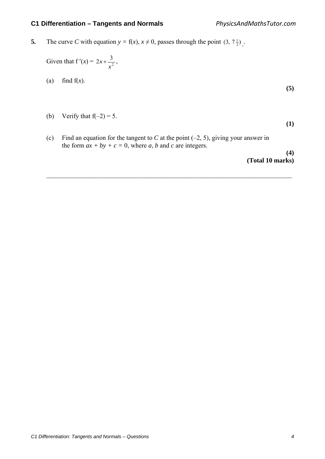**5.** The curve *C* with equation  $y = f(x)$ ,  $x \neq 0$ , passes through the point  $(3, 7\frac{1}{2})$ .

Given that  $f'(x) = 2x + \frac{3}{x^2}$ *x*  $x + \frac{3}{2}$ ,

(a) find  $f(x)$ .

**(5)** 

(b) Verify that  $f(-2) = 5$ .

**(1)** 

(c) Find an equation for the tangent to *C* at the point  $(-2, 5)$ , giving your answer in the form  $ax + by + c = 0$ , where *a*, *b* and *c* are integers.

 $\mathcal{L}_\text{max} = \frac{1}{2} \sum_{i=1}^{n} \frac{1}{2} \sum_{i=1}^{n} \frac{1}{2} \sum_{i=1}^{n} \frac{1}{2} \sum_{i=1}^{n} \frac{1}{2} \sum_{i=1}^{n} \frac{1}{2} \sum_{i=1}^{n} \frac{1}{2} \sum_{i=1}^{n} \frac{1}{2} \sum_{i=1}^{n} \frac{1}{2} \sum_{i=1}^{n} \frac{1}{2} \sum_{i=1}^{n} \frac{1}{2} \sum_{i=1}^{n} \frac{1}{2} \sum_{i=1}^{n} \frac{1$ 

**(4) (Total 10 marks)**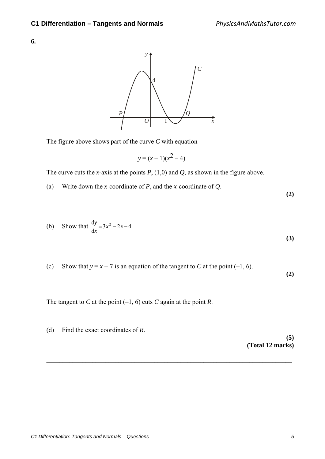

The figure above shows part of the curve *C* with equation

$$
y = (x - 1)(x^2 - 4).
$$

The curve cuts the *x*-axis at the points *P*, (1,0) and *Q*, as shown in the figure above.

(a) Write down the *x*-coordinate of *P*, and the *x*-coordinate of *Q*.

(b) Show that 
$$
\frac{dy}{dx} = 3x^2 - 2x - 4
$$
 (3)

(c) Show that  $y = x + 7$  is an equation of the tangent to *C* at the point (–1, 6).

The tangent to *C* at the point  $(-1, 6)$  cuts *C* again at the point *R*.

(d) Find the exact coordinates of *R*. **(5) (Total 12 marks)**   $\mathcal{L}_\text{max} = \frac{1}{2} \sum_{i=1}^{n} \frac{1}{2} \sum_{i=1}^{n} \frac{1}{2} \sum_{i=1}^{n} \frac{1}{2} \sum_{i=1}^{n} \frac{1}{2} \sum_{i=1}^{n} \frac{1}{2} \sum_{i=1}^{n} \frac{1}{2} \sum_{i=1}^{n} \frac{1}{2} \sum_{i=1}^{n} \frac{1}{2} \sum_{i=1}^{n} \frac{1}{2} \sum_{i=1}^{n} \frac{1}{2} \sum_{i=1}^{n} \frac{1}{2} \sum_{i=1}^{n} \frac{1$ 

**(2)** 

**(2)**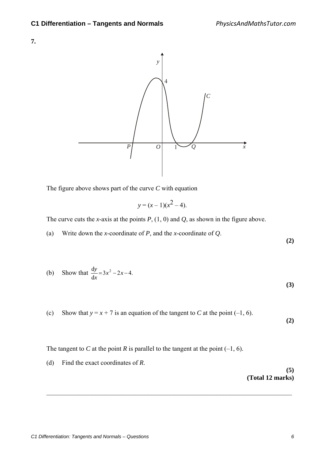



The figure above shows part of the curve *C* with equation

$$
y = (x - 1)(x^2 - 4).
$$

The curve cuts the *x*-axis at the points  $P$ ,  $(1, 0)$  and  $Q$ , as shown in the figure above.

(a) Write down the *x*-coordinate of *P*, and the *x*-coordinate of *Q*.

**(2)** 

(b) Show that 
$$
\frac{dy}{dx} = 3x^2 - 2x - 4.
$$
 (3)

(c) Show that  $y = x + 7$  is an equation of the tangent to *C* at the point (–1, 6).

 $\mathcal{L}_\text{max} = \frac{1}{2} \sum_{i=1}^{n} \frac{1}{2} \sum_{i=1}^{n} \frac{1}{2} \sum_{i=1}^{n} \frac{1}{2} \sum_{i=1}^{n} \frac{1}{2} \sum_{i=1}^{n} \frac{1}{2} \sum_{i=1}^{n} \frac{1}{2} \sum_{i=1}^{n} \frac{1}{2} \sum_{i=1}^{n} \frac{1}{2} \sum_{i=1}^{n} \frac{1}{2} \sum_{i=1}^{n} \frac{1}{2} \sum_{i=1}^{n} \frac{1}{2} \sum_{i=1}^{n} \frac{1$ 

**(2)** 

The tangent to *C* at the point *R* is parallel to the tangent at the point  $(-1, 6)$ .

(d) Find the exact coordinates of *R*.

**(5) (Total 12 marks)**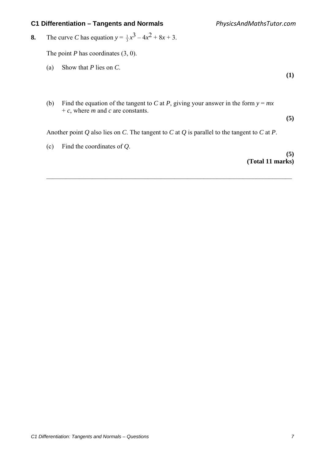**8.** The curve *C* has equation  $y = \frac{1}{3}x^3 - 4x^2 + 8x + 3$ .

The point *P* has coordinates (3, 0).

- (a) Show that *P* lies on *C*.
- (b) Find the equation of the tangent to *C* at *P*, giving your answer in the form  $y = mx$ + *c*, where *m* and *c* are constants.

Another point *Q* also lies on *C*. The tangent to *C* at *Q* is parallel to the tangent to *C* at *P*.

 $\mathcal{L}_\text{max} = \frac{1}{2} \sum_{i=1}^{n} \frac{1}{2} \sum_{i=1}^{n} \frac{1}{2} \sum_{i=1}^{n} \frac{1}{2} \sum_{i=1}^{n} \frac{1}{2} \sum_{i=1}^{n} \frac{1}{2} \sum_{i=1}^{n} \frac{1}{2} \sum_{i=1}^{n} \frac{1}{2} \sum_{i=1}^{n} \frac{1}{2} \sum_{i=1}^{n} \frac{1}{2} \sum_{i=1}^{n} \frac{1}{2} \sum_{i=1}^{n} \frac{1}{2} \sum_{i=1}^{n} \frac{1$ 

(c) Find the coordinates of *Q*.

**(5) (Total 11 marks)** 

**(1)** 

**(5)**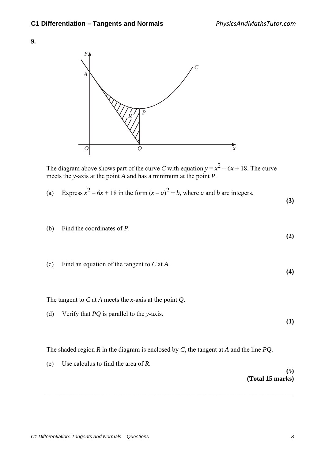



The diagram above shows part of the curve *C* with equation  $y = x^2 - 6x + 18$ . The curve meets the *y*-axis at the point *A* and has a minimum at the point *P*.

(a) Express 
$$
x^2 - 6x + 18
$$
 in the form  $(x - a)^2 + b$ , where *a* and *b* are integers.

**(3)** 

**(2)** 

**(4)** 

**(1)** 

(b) Find the coordinates of *P*.

(c) Find an equation of the tangent to *C* at *A*.

The tangent to *C* at *A* meets the *x*-axis at the point *Q*.

(d) Verify that *PQ* is parallel to the *y*-axis.

The shaded region *R* in the diagram is enclosed by *C*, the tangent at *A* and the line *PQ*.

 $\mathcal{L}_\text{max} = \frac{1}{2} \sum_{i=1}^{n} \frac{1}{2} \sum_{i=1}^{n} \frac{1}{2} \sum_{i=1}^{n} \frac{1}{2} \sum_{i=1}^{n} \frac{1}{2} \sum_{i=1}^{n} \frac{1}{2} \sum_{i=1}^{n} \frac{1}{2} \sum_{i=1}^{n} \frac{1}{2} \sum_{i=1}^{n} \frac{1}{2} \sum_{i=1}^{n} \frac{1}{2} \sum_{i=1}^{n} \frac{1}{2} \sum_{i=1}^{n} \frac{1}{2} \sum_{i=1}^{n} \frac{1$ 

(e) Use calculus to find the area of *R*.

**(5) (Total 15 marks)**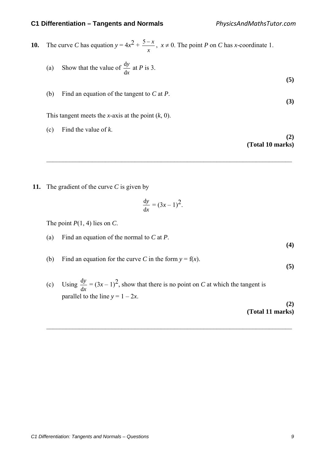**10.** The curve *C* has equation  $y = 4x^2 +$ *x*  $\frac{5-x}{2}$ ,  $x \ne 0$ . The point *P* on *C* has *x*-coordinate 1.

(a) Show that the value of 
$$
\frac{dy}{dx}
$$
 at *P* is 3.

(b) Find an equation of the tangent to *C* at *P*. **(3)** 

This tangent meets the *x*-axis at the point (*k*, 0).

(c) Find the value of *k*.

**(2) (Total 10 marks)** 

**(5)** 

 **11.** The gradient of the curve *C* is given by

$$
\frac{\mathrm{d}y}{\mathrm{d}x} = (3x - 1)^2.
$$

 $\mathcal{L}_\text{max} = \frac{1}{2} \sum_{i=1}^{n} \frac{1}{2} \sum_{i=1}^{n} \frac{1}{2} \sum_{i=1}^{n} \frac{1}{2} \sum_{i=1}^{n} \frac{1}{2} \sum_{i=1}^{n} \frac{1}{2} \sum_{i=1}^{n} \frac{1}{2} \sum_{i=1}^{n} \frac{1}{2} \sum_{i=1}^{n} \frac{1}{2} \sum_{i=1}^{n} \frac{1}{2} \sum_{i=1}^{n} \frac{1}{2} \sum_{i=1}^{n} \frac{1}{2} \sum_{i=1}^{n} \frac{1$ 

The point  $P(1, 4)$  lies on *C*.

(a) Find an equation of the normal to *C* at *P*.

(b) Find an equation for the curve *C* in the form  $y = f(x)$ .

(c) Using *x y* d  $\frac{dy}{dx}$  = (3x – 1)<sup>2</sup>, show that there is no point on *C* at which the tangent is parallel to the line  $y = 1 - 2x$ .

 $\mathcal{L}_\text{max} = \frac{1}{2} \sum_{i=1}^{n} \frac{1}{2} \sum_{i=1}^{n} \frac{1}{2} \sum_{i=1}^{n} \frac{1}{2} \sum_{i=1}^{n} \frac{1}{2} \sum_{i=1}^{n} \frac{1}{2} \sum_{i=1}^{n} \frac{1}{2} \sum_{i=1}^{n} \frac{1}{2} \sum_{i=1}^{n} \frac{1}{2} \sum_{i=1}^{n} \frac{1}{2} \sum_{i=1}^{n} \frac{1}{2} \sum_{i=1}^{n} \frac{1}{2} \sum_{i=1}^{n} \frac{1$ 

**(2) (Total 11 marks)** 

**(4)** 

**(5)**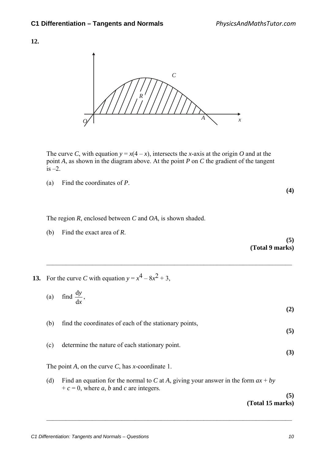

The curve *C*, with equation  $y = x(4 - x)$ , intersects the *x*-axis at the origin *O* and at the point *A*, as shown in the diagram above. At the point *P* on *C* the gradient of the tangent is  $-2$ .

(a) Find the coordinates of *P*.

**(4)** 

The region *R*, enclosed between *C* and *OA*, is shown shaded.

(b) Find the exact area of *R*.

**(5) (Total 9 marks)**

 $\mathcal{L}_\text{max} = \frac{1}{2} \sum_{i=1}^{n} \frac{1}{2} \sum_{i=1}^{n} \frac{1}{2} \sum_{i=1}^{n} \frac{1}{2} \sum_{i=1}^{n} \frac{1}{2} \sum_{i=1}^{n} \frac{1}{2} \sum_{i=1}^{n} \frac{1}{2} \sum_{i=1}^{n} \frac{1}{2} \sum_{i=1}^{n} \frac{1}{2} \sum_{i=1}^{n} \frac{1}{2} \sum_{i=1}^{n} \frac{1}{2} \sum_{i=1}^{n} \frac{1}{2} \sum_{i=1}^{n} \frac{1$ **13.** For the curve *C* with equation  $y = x^4 - 8x^2 + 3$ , (a) find *x y* d  $\frac{dy}{dx}$ , **(2)**  (b) find the coordinates of each of the stationary points, **(5)**  (c) determine the nature of each stationary point. **(3)**  The point *A*, on the curve *C*, has *x*-coordinate 1. (d) Find an equation for the normal to *C* at *A*, giving your answer in the form  $ax + by$  $+c = 0$ , where *a*, *b* and *c* are integers. **(5)** 

 $\mathcal{L}_\text{max} = \frac{1}{2} \sum_{i=1}^{n} \frac{1}{2} \sum_{i=1}^{n} \frac{1}{2} \sum_{i=1}^{n} \frac{1}{2} \sum_{i=1}^{n} \frac{1}{2} \sum_{i=1}^{n} \frac{1}{2} \sum_{i=1}^{n} \frac{1}{2} \sum_{i=1}^{n} \frac{1}{2} \sum_{i=1}^{n} \frac{1}{2} \sum_{i=1}^{n} \frac{1}{2} \sum_{i=1}^{n} \frac{1}{2} \sum_{i=1}^{n} \frac{1}{2} \sum_{i=1}^{n} \frac{1$ 

**(Total 15 marks)**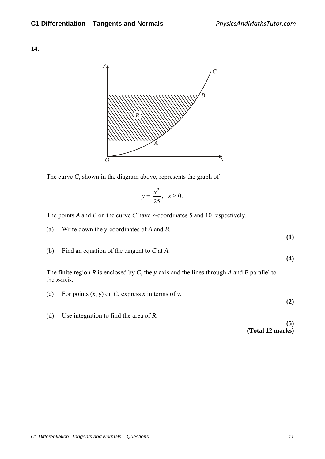

The curve *C*, shown in the diagram above, represents the graph of

$$
y = \frac{x^2}{25}, \quad x \ge 0.
$$

The points *A* and *B* on the curve *C* have *x*-coordinates 5 and 10 respectively.

(a) Write down the *y*-coordinates of *A* and *B*.

(b) Find an equation of the tangent to *C* at *A*.

 The finite region *R* is enclosed by *C*, the *y*-axis and the lines through *A* and *B* parallel to the *x-*axis.

| (c) | For points $(x, y)$ on C, express x in terms of y. | (2)              |
|-----|----------------------------------------------------|------------------|
| (d) | Use integration to find the area of $R$ .          | (5)              |
|     |                                                    | (Total 12 marks) |

 $\mathcal{L}_\text{max} = \frac{1}{2} \sum_{i=1}^{n} \frac{1}{2} \sum_{i=1}^{n} \frac{1}{2} \sum_{i=1}^{n} \frac{1}{2} \sum_{i=1}^{n} \frac{1}{2} \sum_{i=1}^{n} \frac{1}{2} \sum_{i=1}^{n} \frac{1}{2} \sum_{i=1}^{n} \frac{1}{2} \sum_{i=1}^{n} \frac{1}{2} \sum_{i=1}^{n} \frac{1}{2} \sum_{i=1}^{n} \frac{1}{2} \sum_{i=1}^{n} \frac{1}{2} \sum_{i=1}^{n} \frac{1$ 

**(1)** 

**(4)**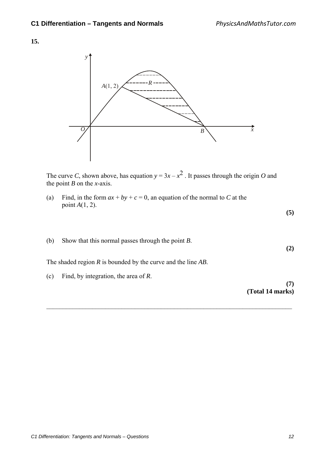

The curve *C*, shown above, has equation  $y = 3x - x^2$ . It passes through the origin *O* and the point *B* on the *x*-axis.

 $\mathcal{L}_\text{max} = \frac{1}{2} \sum_{i=1}^{n} \frac{1}{2} \sum_{i=1}^{n} \frac{1}{2} \sum_{i=1}^{n} \frac{1}{2} \sum_{i=1}^{n} \frac{1}{2} \sum_{i=1}^{n} \frac{1}{2} \sum_{i=1}^{n} \frac{1}{2} \sum_{i=1}^{n} \frac{1}{2} \sum_{i=1}^{n} \frac{1}{2} \sum_{i=1}^{n} \frac{1}{2} \sum_{i=1}^{n} \frac{1}{2} \sum_{i=1}^{n} \frac{1}{2} \sum_{i=1}^{n} \frac{1$ 

(a) Find, in the form  $ax + by + c = 0$ , an equation of the normal to *C* at the point *A*(1, 2).

**(5)** 

**(2)** 

(b) Show that this normal passes through the point *B*.

The shaded region *R* is bounded by the curve and the line *AB*.

(c) Find, by integration, the area of *R*.

**(7) (Total 14 marks)**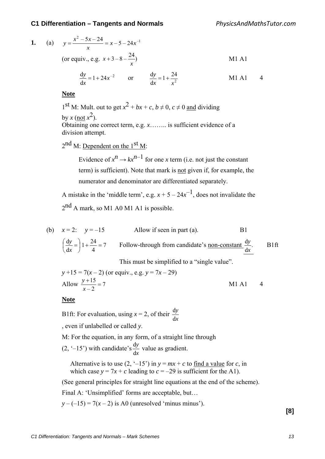1. (a) 
$$
y = \frac{x^2 - 5x - 24}{x} = x - 5 - 24x^{-1}
$$
  
\n(or equiv., e.g.  $x + 3 - 8 - \frac{24}{x}$ )  
\n $\frac{dy}{dx} = 1 + 24x^{-2}$  or  $\frac{dy}{dx} = 1 + \frac{24}{x^2}$    
\nM1 A1 4

**Note**

1<sup>st</sup> M: Mult. out to get  $x^2 + bx + c$ ,  $b \ne 0$ ,  $c \ne 0$  and dividing by *x* (not  $x^2$ ). Obtaining one correct term, e.g. *x*…….. is sufficient evidence of a division attempt.

 $2^{nd}$  M: Dependent on the  $1<sup>st</sup>$  M:

Evidence of  $x^n \to kx^{n-1}$  for one *x* term (i.e. not just the constant term) is sufficient). Note that mark is not given if, for example, the numerator and denominator are differentiated separately.

A mistake in the 'middle term', e.g.  $x + 5 - 24x^{-1}$ , does not invalidate the 2<sup>nd</sup> A mark, so M1 A0 M1 A1 is possible.

(b) 
$$
x = 2
$$
:  $y = -15$    
Allow if seen in part (a).   
 B1  
 $\left(\frac{dy}{dx}\right)1 + \frac{24}{4} = 7$    
Follow-through from candidate's non-constant  $\frac{dy}{dx}$ .   
 B1ft  
 This must be simplified to a "single value".

$$
y+15 = 7(x-2)
$$
 (or equiv., e.g.  $y = 7x-29$ )  
Allow  $\frac{y+15}{x-2} = 7$  M1 A1 4

**Note**

B1ft: For evaluation, using  $x = 2$ , of their *x y* d d

, even if unlabelled or called *y*.

M: For the equation, in any form, of a straight line through

 $(2, -15)$  with candidate's *x y* d  $\frac{dy}{dx}$  value as gradient.

Alternative is to use  $(2, -15)$  in  $y = mx + c$  to find a value for *c*, in which case  $y = 7x + c$  leading to  $c = -29$  is sufficient for the A1).

(See general principles for straight line equations at the end of the scheme).

Final A: 'Unsimplified' forms are acceptable, but…

 $y - (-15) = 7(x - 2)$  is A0 (unresolved 'minus minus').

**[8]**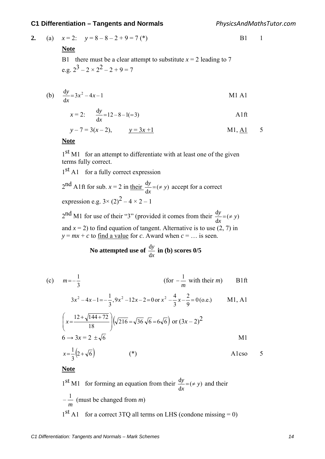*PhysicsAndMathsTutor.com*

2. (a) 
$$
x=2
$$
:  $y=8-8-2+9=7$  (\*)  
B1 1

### **Note**

B1 there must be a clear attempt to substitute  $x = 2$  leading to 7 e.g.  $2^3 - 2 \times 2^2 - 2 + 9 = 7$ 

(b) 
$$
\frac{dy}{dx} = 3x^2 - 4x - 1
$$
 M1 A1

$$
x = 2: \qquad \frac{dy}{dx} = 12 - 8 - 1 = 3
$$

$$
y - 7 = 3(x - 2),
$$
  $y = 3x + 1$  M1, A1 5

# **Note**

1<sup>st</sup> M1 for an attempt to differentiate with at least one of the given terms fully correct.

 $1<sup>st</sup>$  A1 for a fully correct expression

2<sup>nd</sup> A1ft for sub. 
$$
x = 2
$$
 in their  $\frac{dy}{dx} = (\neq y)$  accept for a correct  
expression e.g.  $3 \times (2)^2 - 4 \times 2 - 1$ 

 $2<sup>nd</sup>$  M1 for use of their "3" (provided it comes from their  $\frac{dy}{dx} = (\neq y)$ *x*  $\frac{y}{x}$  = ( $\neq$ and  $x = 2$ ) to find equation of tangent. Alternative is to use  $(2, 7)$  in  $y = mx + c$  to find a value for *c*. Award when  $c = ...$  is seen.

 **No attempted use of** *x y* d  $\frac{dy}{dt}$  in (b) scores  $0/5$ 

(c) 
$$
m = -\frac{1}{3}
$$
 (for  $-\frac{1}{m}$  with their *m*) B1ft

$$
3x^2 - 4x - 1 = -\frac{1}{3}, 9x^2 - 12x - 2 = 0 \text{ or } x^2 - \frac{4}{3}x - \frac{2}{9} = 0 \text{ (o.e.)}
$$
 M1, A1

$$
\left(x = \frac{12 + \sqrt{144 + 72}}{18}\right) \left(\sqrt{216} = \sqrt{36}\sqrt{6} = 6\sqrt{6}\right) \text{ or } (3x - 2)^2
$$
  
6 \rightarrow 3x = 2 \pm \sqrt{6}

$$
x = \frac{1}{3} \left( 2 + \sqrt{6} \right) \tag{*}
$$

A1cso 5

**Note**

1<sup>st</sup> M1 for forming an equation from their  $\frac{dy}{dx} = (\neq y)$ *x*  $y = (\neq y)$  and their *m*  $-\frac{1}{x}$  (must be changed from *m*)  $1<sup>st</sup>$  A1 for a correct 3TO all terms on LHS (condone missing = 0)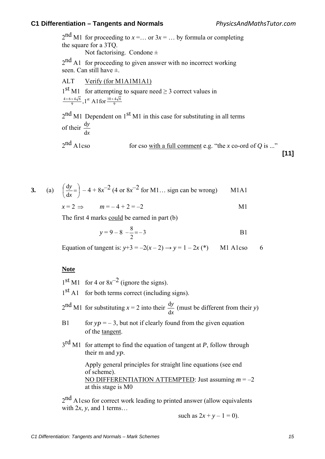$2<sup>nd</sup>$  M1 for proceeding to  $x = ...$  or  $3x = ...$  by formula or completing the square for a 3TQ.

Not factorising. Condone  $\pm$ 

2<sup>nd</sup> A1 for proceeding to given answer with no incorrect working seen. Can still have  $\pm$ 

ALT Verify (for M1A1M1A1)  $1<sup>st</sup>$  M1 for attempting to square need  $\geq$  3 correct values in 9 st  $\Lambda$  1 for  $10+4\sqrt{6}$  $\frac{4+6+4\sqrt{6}}{9}$ , 1<sup>st</sup> A1 for  $\frac{10+}{4}$ 

 $2<sup>nd</sup>$  M1 Dependent on  $1<sup>st</sup>$  M1 in this case for substituting in all terms of their *x y* d d

 $2<sup>nd</sup>$  A1cso for cso <u>with a full comment</u> e.g. "the *x* co-ord of *Q* is ..."

**[11]**

$$
3. \qquad \qquad
$$

**3.** (a)  $\left|\frac{dy}{1}\right| = 1$ J  $\left(\frac{dy}{dx}\right)$ L  $\frac{dy}{dx}$ = *x y* d  $\frac{dy}{dx} = -4 + 8x^{-2}$  (4 or  $8x^{-2}$  for M1... sign can be wrong) M1A1

$$
x = 2 \implies \qquad m = -4 + 2 = -2 \tag{M1}
$$

The first 4 marks could be earned in part (b)

$$
y = 9 - 8 - \frac{8}{2} = -3
$$
 B1

Equation of tangent is:  $y+3 = -2(x-2) \rightarrow y = 1-2x$  (\*) M1 A1cso 6

# **Note**

 $1<sup>st</sup>$  M1 for 4 or  $8x<sup>-2</sup>$  (ignore the signs).

 $1<sup>st</sup>$  A1 for both terms correct (including signs).

 $2<sup>nd</sup>$  M1 for substituting *x* = 2 into their *x y* d  $\frac{dy}{dx}$  (must be different from their *y*)

- B1 for  $yp = -3$ , but not if clearly found from the given equation of the tangent.
- 3rd M1 for attempt to find the equation of tangent at *P*, follow through their m and *yP*.

 Apply general principles for straight line equations (see end of scheme). NO DIFFERENTIATION ATTEMPTED: Just assuming *m* = –2 at this stage is M0

 $2<sup>nd</sup>$  A1cso for correct work leading to printed answer (allow equivalents with  $2x$ , *y*, and 1 terms...

such as  $2x + y - 1 = 0$ .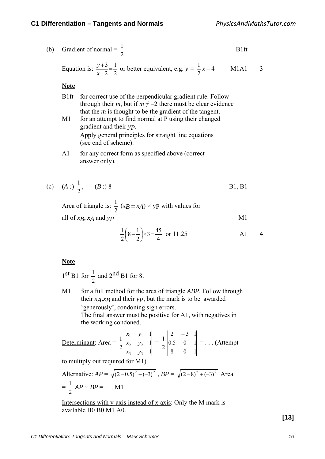(b) Gradient of normal 
$$
=
$$
  $\frac{1}{2}$  B1ft

Equation is: 
$$
\frac{y+3}{x-2} = \frac{1}{2}
$$
 or better equivalent, e.g.  $y = \frac{1}{2}x - 4$  M1A1 3

**Note**

- B1ft for correct use of the perpendicular gradient rule. Follow through their *m*, but if  $m \neq -2$  there must be clear evidence that the *m* is thought to be the gradient of the tangent.
- M1 for an attempt to find normal at P using their changed gradient and their *yP*. Apply general principles for straight line equations (see end of scheme).
- A1 for any correct form as specified above (correct answer only).

(c) 
$$
(A:)\frac{1}{2}
$$
,  $(B:)$  8   
B1, B1

Area of triangle is:  $\frac{1}{2}$   $(x + x) \times y$  with values for all of  $xB$ ,  $xA$  and  $yP$  M1

$$
\frac{1}{2}\left(8-\frac{1}{2}\right) \times 3 = \frac{45}{4} \text{ or } 11.25
$$
 A1 4

## **Note**

 $1<sup>st</sup> B1$  for 2  $\frac{1}{2}$  and  $2^{nd}$  B1 for 8.

> M1 for a full method for the area of triangle *ABP*. Follow through their  $x_A$ , $x_B$  and their  $y_P$ , but the mark is to be awarded 'generously', condoning sign errors.. The final answer must be positive for A1, with negatives in the working condoned.

Determinant: Area = 
$$
\frac{1}{2}\begin{vmatrix} x_1 & y_1 & 1 \ x_2 & y_2 & 1 \ x_3 & y_3 & 1 \end{vmatrix} = \frac{1}{2}\begin{vmatrix} 2 & -3 & 1 \ 0.5 & 0 & 1 \ 8 & 0 & 1 \end{vmatrix} = ...
$$
 (Attempt

to multiply out required for M1)

Alternative: 
$$
AP = \sqrt{(2-0.5)^2 + (-3)^2}
$$
,  $BP = \sqrt{(2-8)^2 + (-3)^2}$  Area  
=  $\frac{1}{2}AP \times BP = ...$  M1

Intersections with y-axis instead of *x*-axis: Only the M mark is available B0 B0 M1 A0.

**[13]**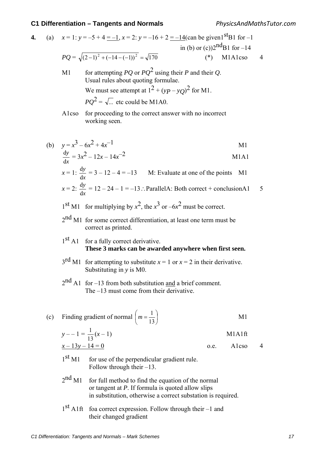4. (a) 
$$
x = 1
$$
:  $y = -5 + 4 = -1$ ,  $x = 2$ :  $y = -16 + 2 = -14(\text{can be given}^{15} \text{B1 for } -1$   
in (b) or (c))2<sup>nd</sup>B1 for -14  
 $PQ = \sqrt{(2-1)^2 + (-14-(-1))^2} = \sqrt{170}$  (\*) M1A1cso 4  
M1 for attempting *PO* or *PO*<sup>2</sup> using their *P* and their *O*

- M1 for attempting *PQ* or *PQ*<sup>2</sup> using their *P* and their *Q*. Usual rules about quoting formulae. We must see attempt at  $1^2 + (yp - yQ)^2$  for M1.  $PQ^2 = \sqrt{...}$  etc could be M1A0.
- A1cso for proceeding to the correct answer with no incorrect working seen.

(b) 
$$
y=x^3-6x^2+4x^{-1}
$$
  
\n $\frac{dy}{dx} = 3x^2 - 12x - 14x^{-2}$   
\nM1A1  
\nM1A1

$$
x = 1: \frac{dy}{dx} = 3 - 12 - 4 = -13
$$
 M: Evaluate at one of the points M1  

$$
x = 2: \frac{dy}{dx} = 12 - 24 - 1 = -13
$$
. ParallelA: Both correct + conclusionA1 5

- $1<sup>st</sup>$  M1 for multiplying by  $x<sup>2</sup>$ , the  $x<sup>3</sup>$  or  $-6x<sup>2</sup>$  must be correct.
- 2<sup>nd</sup> M1 for some correct differentiation, at least one term must be correct as printed.
- 1<sup>st</sup> A1 for a fully correct derivative. **These 3 marks can be awarded anywhere when first seen.**
- $3<sup>rd</sup>$  M1 for attempting to substitute  $x = 1$  or  $x = 2$  in their derivative. Substituting in *y* is M0.
- $2<sup>nd</sup>$  A1 for –13 from both substitution and a brief comment. The –13 must come from their derivative.
- (c) Finding gradient of normal  $\mid m = \frac{1}{10} \mid$ Ј  $\left(m=\frac{1}{12}\right)$  $\setminus$  $\left( m\right)$ 13  $m = \frac{1}{12}$  M1

$$
y = -1 = \frac{1}{13}(x - 1)
$$
 M1A1ft

$$
x - 13y - 14 = 0
$$
 o.e. Alcso 4

$$
0.e.
$$

- $1<sup>st</sup>$  M1 for use of the perpendicular gradient rule. Follow through their –13.
- $2<sup>nd</sup>$  M1 for full method to find the equation of the normal or tangent at *P*. If formula is quoted allow slips in substitution, otherwise a correct substation is required.
- 1st A1ft foa correct expression. Follow through their –1 and their changed gradient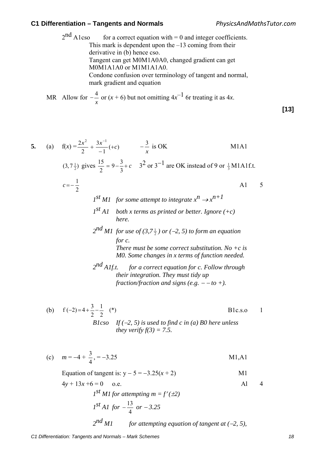$2<sup>nd</sup>$  A1cso for a correct equation with = 0 and integer coefficients. This mark is dependent upon the  $-13$  coming from their derivative in (b) hence cso. Tangent can get M0M1A0A0, changed gradient can get M0M1A1A0 or M1M1A1A0. Condone confusion over terminology of tangent and normal, mark gradient and equation

MR Allow for *x*  $-\frac{4}{x}$  or  $(x+6)$  but not omitting  $4x^{-1}$  6r treating it as 4x.

$$
[13]
$$

5. (a) 
$$
f(x) = \frac{2x^2}{2} + \frac{3x^{-1}}{-1}(+c)
$$
  $-\frac{3}{x}$  is OK  
\n $(3, 7\frac{1}{2})$  gives  $\frac{15}{2} = 9 - \frac{3}{3} + c$   $3^2$  or  $3^{-1}$  are OK instead of 9 or  $\frac{1}{3}$  M1A1f.t.  
\n $c = -\frac{1}{2}$   
\n $I^{st} M1$  for some attempt to integrate  $x^n \rightarrow x^{n+1}$   
\n $I^{st} A1$  both x terms as printed or better. Ignore (+c)  
\nhere.  
\n $2^{nd} M1$  for use of  $(3, 7\frac{1}{2})$  or  $(-2, 5)$  to form an equation  
\nfor c.  
\nThere must be some correct substitution. No + c is  
\nM0. Some changes in x terms of function needed.  
\n $2^{nd} A1f.t.$  for a correct equation for c. Follow through  
\ntheir integration. They must tidy up  
\nfraction/fraction and signs (e.g. - -to +).

(b) 
$$
f(-2)=4+\frac{3}{2}-\frac{1}{2}
$$
 (\*)  
\n*Blcso* If  $(-2, 5)$  is used to find c in (a) *BO* here unless  
\n*they verify*  $f(3) = 7.5$ .

(c) 
$$
m = -4 + \frac{3}{4}, = -3.25
$$
 M1,A1

Equation of tangent is: 
$$
y - 5 = -3.25(x + 2)
$$
 M1  
\n $4y + 13x + 6 = 0$  o.e. Al  $4$   
\n $1^{st} M1$  for attempting  $m = f'(\pm 2)$   
\n $1^{st} A1$  for  $-\frac{13}{4}$  or  $-3.25$   
\n $2^{nd} M1$  for attempting equation of tangent at  $(-2, 5)$ ,

*C1 Differentiation: Tangents and Normals – Mark Schemes 18*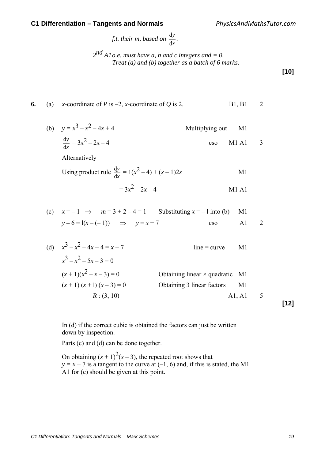*f.t. their m, based on x y* d  $\frac{dy}{dx}$ .

**6.** (a) *x*-coordinate of *P* is  $-2$ , *x*-coordinate of *Q* is 2. B1, B1 2

 $2^{nd}$  *A1 o.e. must have a, b and c integers and = 0. Treat (a) and (b) together as a batch of 6 marks.* 

**[10]**

(b) 
$$
y = x^3 - x^2 - 4x + 4
$$
  
\n
$$
\frac{dy}{dx} = 3x^2 - 2x - 4
$$
\n
$$
\frac{dy}{dx} = 3x^2 - 2x - 4
$$
\n
$$
\frac{dy}{dx} = 1(x^2 - 4) + (x - 1)2x
$$
\n
$$
= 3x^2 - 2x - 4
$$
\n
$$
\frac{dy}{dx} = 1 - 1 \Rightarrow \quad M = 3 + 2 - 4 = 1
$$
\n
$$
\frac{dy}{dx} = 1 - 1 \Rightarrow \quad M = 1 - 1
$$
\n
$$
\frac{dy}{dx} = 1 - 1 \Rightarrow \quad M = 1 - 1
$$
\n
$$
\frac{dy}{dx} = 1 - 1 \Rightarrow \quad M = 1 - 1
$$
\n
$$
\frac{dy}{dx} = 1 - 1 \Rightarrow \quad M = 1 - 1
$$
\n
$$
\frac{dy}{dx} = 1 - 1 \Rightarrow \quad M = 1 - 1
$$
\n
$$
\frac{dy}{dx} = 1 - 1 \Rightarrow \quad M = 1 - 1
$$
\n
$$
\frac{dy}{dx} = 1 - 1 \Rightarrow \quad M = 1 - 1
$$
\n
$$
\frac{dy}{dx} = 1 - 1 \Rightarrow \quad M = 1 - 1
$$
\n
$$
\frac{dy}{dx} = 1 - 1 \Rightarrow \quad M = 1 - 1
$$
\n
$$
\frac{dy}{dx} = 1 - 1 \Rightarrow \quad M = 1 - 1
$$
\n
$$
\frac{dy}{dx} = 1 - 1 \Rightarrow \quad M = 1 - 1
$$
\n
$$
\frac{dy}{dx} = 1 - 1 \Rightarrow \quad M = 1 - 1
$$
\n
$$
\frac{dy}{dx} = 1 - 1 \Rightarrow \quad M = 1 - 1
$$
\n
$$
\frac{dy}{dx} = 1 - 1 \Rightarrow \quad M = 1 - 1
$$
\n
$$
\frac{dy}{dx} = 1 - 1 \Rightarrow \quad M = 1 - 1
$$
\n
$$
\frac{dy}{dx} = 1 - 1 \Rightarrow \quad M = 1 - 1
$$
\n
$$
\frac{dy}{dx} = 1 - 1 \Rightarrow \quad M = 1 - 1
$$
\n
$$
\frac{dy}{dx} = 1 - 1 \Rightarrow \quad M
$$

$$
x^{3}-x^{2}-5x-3=0
$$
  
(x + 1)(x<sup>2</sup>-x-3) = 0  
(x + 1) (x + 1) (x - 3) = 0  
*R* : (3, 10)  
  
**121**  
Obtaining linear × quadratic M1  
Obtaining 3 linear factors M1

 In (d) if the correct cubic is obtained the factors can just be written down by inspection.

Parts (c) and (d) can be done together.

On obtaining  $(x + 1)^2(x - 3)$ , the repeated root shows that  $y = x + 7$  is a tangent to the curve at  $(-1, 6)$  and, if this is stated, the M1 A1 for (c) should be given at this point.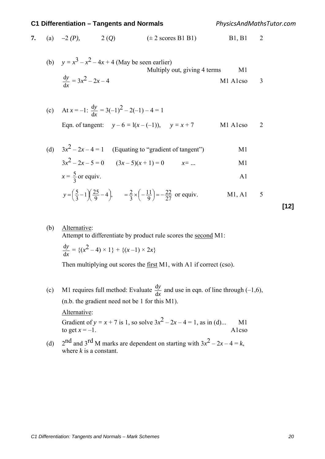*PhysicsAndMathsTutor.com*

7. (a) 
$$
-2(P)
$$
,  $2(Q)$   $(\pm 2 \text{ scores B1 B1})$  B1, B1 2

(b) 
$$
y = x^3 - x^2 - 4x + 4
$$
 (May be seen earlier)  
\nMultiply out, giving 4 terms  
\n
$$
\frac{dy}{dx} = 3x^2 - 2x - 4
$$
\nM1 Also 3

(c) At 
$$
x = -1
$$
:  $\frac{dy}{dx} = 3(-1)^2 - 2(-1) - 4 = 1$   
Eqn. of tangent:  $y - 6 = 1(x - (-1))$ ,  $y = x + 7$  M1 Also 2

(d)  $3x^2 - 2x - 4 = 1$  (Equating to "gradient of tangent") M1  $3x^{2} - 2x - 5 = 0$   $(3x - 5)(x + 1) = 0$   $x = ...$  M1

$$
x = \frac{5}{3} \text{ or equiv.}
$$

$$
y = \left(\frac{5}{3} - 1\right)\left(\frac{25}{9} - 4\right),
$$
  $= \frac{2}{3} \times \left(-\frac{11}{9}\right) = -\frac{22}{27}$  or equiv. M1, A1 5

(b) Alternative:

Attempt to differentiate by product rule scores the second M1:

$$
\frac{dy}{dx} = \{(x^2 - 4) \times 1\} + \{(x - 1) \times 2x\}
$$

Then multiplying out scores the first M1, with A1 if correct (cso).

- (c) M1 requires full method: Evaluate  $\frac{dy}{dx}$ *y*  $\frac{dy}{dx}$  and use in eqn. of line through (-1,6), (n.b. the gradient need not be 1 for this M1). Alternative: Gradient of  $y = x + 7$  is 1, so solve  $3x^2 - 2x - 4 = 1$ , as in (d)... M1 to get  $x = -1$
- to get  $x = -1$ . (d)  $2^{nd}$  and  $3^{rd}$  M marks are dependent on starting with  $3x^2 - 2x - 4 = k$ , where *k* is a constant.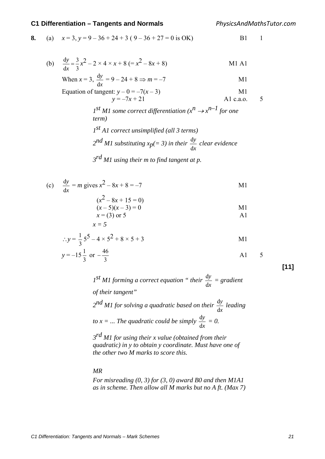*PhysicsAndMathsTutor.com*

8. (a) 
$$
x = 3, y = 9 - 36 + 24 + 3 (9 - 36 + 27 = 0
$$
 is OK)

(b) 
$$
\frac{dy}{dx} = \frac{3}{3}x^2 - 2 \times 4 \times x + 8 = (x^2 - 8x + 8)
$$
   
M1 A1

When 
$$
x = 3
$$
,  $\frac{dy}{dx} = 9 - 24 + 8 \Rightarrow m = -7$  M1

Equation of tangent: 
$$
y - 0 = -7(x - 3)
$$
  
\n $y = -7x + 21$    
\n**1** A1 c.a.o. 5

$$
I^{st}
$$
 *M1 some correct differentiation*  $(x^n \rightarrow x^{n-1}$  *for one term*)  
 $I^{st}$  *A1 correct unsimplified (all* 3 *terms)*

$$
2^{nd}
$$
 *M1* substituting  $x_p(=3)$  in their  $\frac{dy}{dx}$  clear evidence

*3rd M1 using their m to find tangent at p.* 

(c) 
$$
\frac{dy}{dx} = m \text{ gives } x^2 - 8x + 8 = -7
$$
 M1

$$
(x2 - 8x + 15 = 0) \n(x-5)(x-3) = 0 \nx = (3) or 5
$$
\n
$$
x = 5
$$

$$
\therefore y = \frac{1}{3}5^5 - 4 \times 5^2 + 8 \times 5 + 3
$$

$$
y = -15\frac{1}{3} \text{ or } -\frac{46}{3}
$$
 A1 5

**[11]**

*1st M1 forming a correct equation " their x y* d  $\frac{dy}{dx}$  = gradient *of their tangent"* 

$$
2^{nd}
$$
 *M1 for solving a quadratic based on their*  $\frac{dy}{dx}$  *leading*  
to  $x = ...$  *The quadratic could be simply*  $\frac{dy}{dx} = 0$ .

*3rd M1 for using their x value (obtained from their quadratic) in y to obtain y coordinate. Must have one of the other two M marks to score this.*

#### *MR*

*For misreading (0, 3) for (3, 0) award B0 and then M1A1 as in scheme. Then allow all M marks but no A ft. (Max 7)*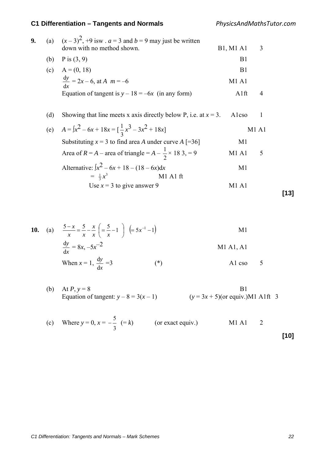*PhysicsAndMathsTutor.com*

| 9. | (a) | $(x-3)^2$ , +9 isw . $a=3$ and $b=9$ may just be written<br>down with no method shown. |                  | 3            |  |
|----|-----|----------------------------------------------------------------------------------------|------------------|--------------|--|
|    |     |                                                                                        | <b>B1, M1 A1</b> |              |  |
|    | (b) | P is $(3, 9)$                                                                          | B1               |              |  |
|    | (c) | $A = (0, 18)$                                                                          | B <sub>1</sub>   |              |  |
|    |     | $\frac{dy}{dx}$ = 2x – 6, at A m = –6                                                  | <b>M1 A1</b>     |              |  |
|    |     | Equation of tangent is $y - 18 = -6x$ (in any form)                                    | Alft             | 4            |  |
|    |     |                                                                                        |                  |              |  |
|    | (d) | Showing that line meets x axis directly below P, i.e. at $x = 3$ .                     | Alcso            | 1            |  |
|    |     | (e) $A = \int x^2 - 6x + 18x = \left[\frac{1}{3}x^3 - 3x^2 + 18x\right]$               |                  | <b>M1 A1</b> |  |
|    |     | Substituting $x = 3$ to find area A under curve A [=36]                                | M1               |              |  |
|    |     | Area of $R = A$ – area of triangle = $A - \frac{1}{2} \times 18$ 3, = 9                | M1 A1            | 5            |  |
|    |     | Alternative: $\int x^2 - 6x + 18 - (18 - 6x) dx$                                       | M <sub>1</sub>   |              |  |
|    |     | M1 A1 ft<br>$= \frac{1}{2}x^3$                                                         |                  |              |  |
|    |     | Use $x = 3$ to give answer 9                                                           | M1 A1            |              |  |
|    |     |                                                                                        |                  |              |  |

$$
[13]
$$

**10.** (a)  $\frac{5-x}{x} = \frac{5}{x} - \frac{x}{x} \left( = \frac{5}{x} - 1 \right) \left( = 5x^{-1} - 1 \right)$ Y  $\frac{-x}{-} = \frac{5}{-} - \frac{x}{-} = \frac{5}{-} - 1$   $\left( = 5x^{-}$ *x*  $\left\langle x \right\rangle$ *x xx*  $\frac{x}{x} = \frac{5}{-} - \frac{x}{-} \left( = \frac{5}{-} - 1 \right) \left( = 5x^{-1} - 1 \right)$  M1 *x y* d  $\frac{dy}{dx} = 8x, -5x^{-2}$  M1 A1, A1 When  $x = 1$ , *x y* d  $\frac{dy}{dx} = 3$  (\*) A1 cso 5

- (b) At  $P, y = 8$  B1 Equation of tangent:  $y - 8 = 3(x - 1)$  (*y* = 3*x* + 5)(or equiv.)M1 A1ft 3
- (c) Where  $y = 0, x =$ 3  $\frac{5}{-}$  (= *k*) (or exact equiv.) M1 A1 2 **[10]**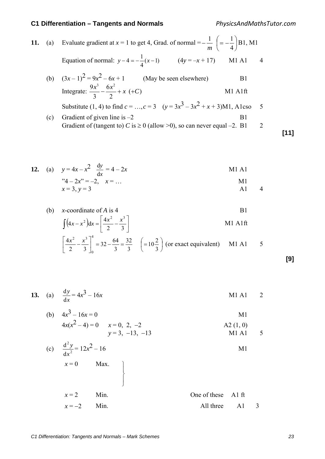*PhysicsAndMathsTutor.com*

11. (a) Evaluate gradient at 
$$
x = 1
$$
 to get 4, Grad. of normal  $= -\frac{1}{m} \left( = -\frac{1}{4} \right) B1$ , M1  
\nEquation of normal:  $y - 4 = -\frac{1}{4}(x - 1)$  (4y = -x + 17) M1 A1 4  
\n(b)  $(3x - 1)^2 = 9x^2 - 6x + 1$  (May be seen elsewhere) B1  
\nIntegrate:  $\frac{9x^3}{3} - \frac{6x^2}{2} + x$  (+C) M1 A1ff  
\nSubstitute (1, 4) to find  $c = ..., c = 3$  ( $y = 3x^3 - 3x^2 + x + 3$ )M1, Alcso 5  
\n(c) Gradient of given line is -2 B1  
\nGradient of (tangent to) C is  $\ge 0$  (allow  $> 0$ ), so can never equal -2. B1 2 [11]

12. (a) 
$$
y=4x-x^2 \frac{dy}{dx} = 4-2x
$$
  
\n $3x^2-2x^2 = -2, x = ...$   
\n $x = 3, y = 3$   
\nM1 A1  
\nM1 A1  
\nM1 A1  
\nM1 A1  
\nM1 A1  
\nM1 A1  
\nM1 A1  
\nM1 A1

(b) x-coordinate of A is 4  
\n
$$
\int (4x - x^2) dx = \left[ \frac{4x^2}{2} - \frac{x^3}{3} \right]
$$
\n
$$
M1 \text{ A1ft}
$$

$$
\left[\frac{4x^2}{2} - \frac{x^3}{3}\right]_0^4 = 32 - \frac{64}{3} = \frac{32}{3} \quad \left(=10\frac{2}{3}\right) \text{ (or exact equivalent)} \quad \text{M1 A1} \quad 5
$$

**[9]**

**13.** (a) 
$$
\frac{dy}{dx} = 4x^3 - 16x
$$
 M1 A1 2

(b) 
$$
4x^3 - 16x = 0
$$
  
\t $4x(x^2 - 4) = 0$   $x = 0, 2, -2$   
\t $y = 3, -13, -13$   
\t $y = 3, -13$   
\t $y = 4x + 16x$   
\t $42 (1, 0)$   
\t $42 (1, 0)$   
\t $5$ 

(c) 
$$
\frac{d^2 y}{dx^2} = 12x^2 - 16
$$
  
 $x = 0$  Max.

 $\int$ 

 $\left\{ \right.$ 

$$
x=2
$$
 Min.  
\n $x=-2$  Min.  
\n $x=-2$  Min.  
\n $x = -2$  Min.  
\n $x = 2$  Min.  
\n $x = 2$  Min.  
\n $x = 2$  Min.  
\n $x = 2$  Min.  
\n $x = 2$  Min.  
\n $x = 2$  Min.  
\n $x = 2$  Min.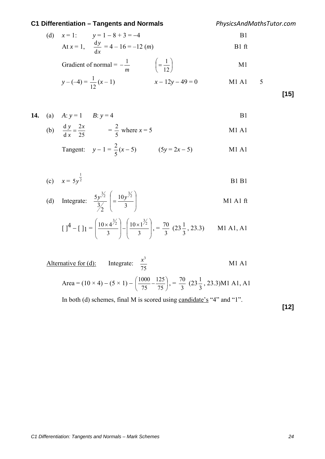*PhysicsAndMathsTutor.com*

(d) 
$$
x = 1
$$
:  $y = 1 - 8 + 3 = -4$   
At  $x = 1$ ,  $\frac{dy}{dx} = 4 - 16 = -12$  (*m*)  
Bl f<sub>t</sub>

Gradient of normal = 
$$
-\frac{1}{m}
$$
  $\left(=\frac{1}{12}\right)$  M1

$$
y - (-4) = \frac{1}{12}(x - 1) \qquad x - 12y - 49 = 0 \qquad \text{M1 A1} \qquad 5
$$

**[15]**

**14.** (a) 
$$
A: y = 1
$$
  $B: y = 4$  **B1**

(b) 
$$
\frac{dy}{dx} = \frac{2x}{25}
$$
 =  $\frac{2}{5}$  where  $x = 5$  M1 A1

Tangent: 
$$
y-1 = \frac{2}{5}(x-5)
$$
 (5y = 2x - 5) M1 A1

(c) 
$$
x = 5y^{\frac{1}{2}}
$$
 B1 B1

(d) Integrate: 
$$
\frac{5y^{\frac{3}{2}}}{\frac{3}{2}}\left(=\frac{10y^{\frac{3}{2}}}{3}\right)
$$
 M1 A1 ft

$$
\left[\right]^{4} - \left[\right]^{4} = \left[\frac{10 \times 4^{\frac{3}{2}}}{3}\right] - \left(\frac{10 \times 1^{\frac{3}{2}}}{3}\right), = \frac{70}{3} (23\frac{1}{3}, 23.3) \quad \text{M1 A1, A1}
$$

Alternative for (d): Integrate: 
$$
\frac{x^3}{75}
$$

\nArea =  $(10 \times 4) - (5 \times 1) - \left(\frac{1000}{75} - \frac{125}{75}\right)$ , =  $\frac{70}{3}(23\frac{1}{3}, 23.3)$ M1 A1, A1

In both (d) schemes, final M is scored using candidate's "4" and "1".

**[12]**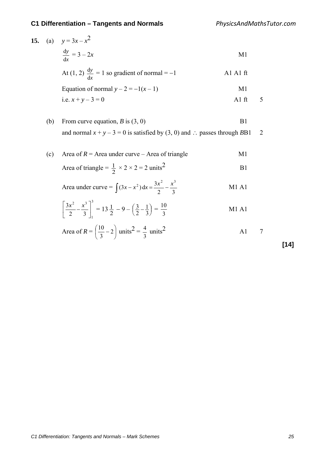**15.** (a)  $y = 3x - x^2$ *x y*  $\frac{dy}{dx} = 3 - 2x$  M1 At (1, 2) *x y*  $\frac{dy}{dx} = 1$  so gradient of normal = -1 A1 A1 ft Equation of normal  $y - 2 = -1(x - 1)$  M1 i.e.  $x + y - 3 = 0$  A1 ft 5 (b) From curve equation,  $B$  is  $(3, 0)$  B1 and normal  $x + y - 3 = 0$  is satisfied by (3, 0) and ∴ passes through *B*B1 2 (c) Area of  $R =$  Area under curve – Area of triangle M1 Area of triangle =  $\frac{1}{2} \times 2 \times 2 = 2$  units<sup>2</sup> B1 Area under curve =  $\int (3x - x^2) dx = \frac{3x^2}{2} - \frac{x^3}{3}$  M1 A1 3 1 2  $\frac{3}{2}$  $\frac{3x^2}{2} - \frac{x^3}{3}$  $\overline{\phantom{a}}$  $\left|\frac{3x^2}{2}-\frac{x^3}{2}\right|$ L  $\left(\frac{3x^2}{2} - \frac{x^3}{3}\right)^3 = 13\frac{1}{2} - 9 - \left(\frac{3}{2} - \frac{1}{3}\right)$  $\left(\frac{3}{2} - \frac{1}{3}\right) =$ 3 M1 A1 Area of  $R = \left| \frac{10}{2} - 2 \right|$ J  $\left(\frac{10}{2}-2\right)$  $\setminus$  $\frac{10}{2}$  – 2 3  $\left(\frac{10}{2} - 2\right)$  units<sup>2</sup> = 3  $\frac{4}{3}$  units<sup>2</sup> A1 7

**[14]**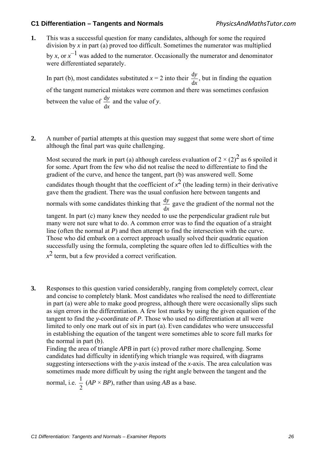**1.** This was a successful question for many candidates, although for some the required division by *x* in part (a) proved too difficult. Sometimes the numerator was multiplied by *x*, or  $x^{-1}$  was added to the numerator. Occasionally the numerator and denominator were differentiated separately.

In part (b), most candidates substituted  $x = 2$  into their *x y* d  $\frac{dy}{dx}$ , but in finding the equation of the tangent numerical mistakes were common and there was sometimes confusion between the value of *x y* d  $\frac{dy}{dx}$  and the value of *y*.

**2.** A number of partial attempts at this question may suggest that some were short of time although the final part was quite challenging.

Most secured the mark in part (a) although careless evaluation of  $2 \times (2)^2$  as 6 spoiled it for some. Apart from the few who did not realise the need to differentiate to find the gradient of the curve, and hence the tangent, part (b) was answered well. Some candidates though thought that the coefficient of  $x^2$  (the leading term) in their derivative gave them the gradient. There was the usual confusion here between tangents and normals with some candidates thinking that *x y* d  $\frac{dy}{dx}$  gave the gradient of the normal not the tangent. In part (c) many knew they needed to use the perpendicular gradient rule but many were not sure what to do. A common error was to find the equation of a straight line (often the normal at *P*) and then attempt to find the intersection with the curve. Those who did embark on a correct approach usually solved their quadratic equation successfully using the formula, completing the square often led to difficulties with the  $x^2$  term, but a few provided a correct verification.

**3.** Responses to this question varied considerably, ranging from completely correct, clear and concise to completely blank. Most candidates who realised the need to differentiate in part (a) were able to make good progress, although there were occasionally slips such as sign errors in the differentiation. A few lost marks by using the given equation of the tangent to find the *y*-coordinate of *P*. Those who used no differentiation at all were limited to only one mark out of six in part (a). Even candidates who were unsuccessful in establishing the equation of the tangent were sometimes able to score full marks for the normal in part (b).

Finding the area of triangle *APB* in part (c) proved rather more challenging. Some candidates had difficulty in identifying which triangle was required, with diagrams suggesting intersections with the *y*-axis instead of the *x*-axis. The area calculation was sometimes made more difficult by using the right angle between the tangent and the

normal, i.e.  $\frac{1}{2}$  (*AP × BP*), rather than using *AB* as a base.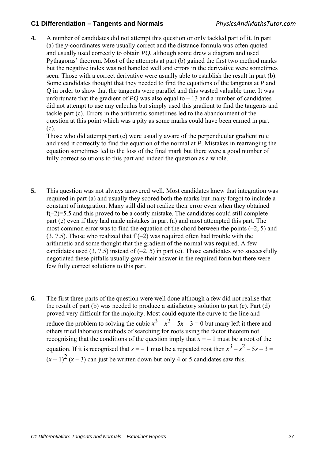**4.** A number of candidates did not attempt this question or only tackled part of it. In part (a) the *y*-coordinates were usually correct and the distance formula was often quoted and usually used correctly to obtain *PQ,* although some drew a diagram and used Pythagoras' theorem. Most of the attempts at part (b) gained the first two method marks but the negative index was not handled well and errors in the derivative were sometimes seen. Those with a correct derivative were usually able to establish the result in part (b). Some candidates thought that they needed to find the equations of the tangents at *P* and *Q* in order to show that the tangents were parallel and this wasted valuable time. It was unfortunate that the gradient of  $PQ$  was also equal to  $-13$  and a number of candidates did not attempt to use any calculus but simply used this gradient to find the tangents and tackle part (c). Errors in the arithmetic sometimes led to the abandonment of the question at this point which was a pity as some marks could have been earned in part (c).

Those who did attempt part (c) were usually aware of the perpendicular gradient rule and used it correctly to find the equation of the normal at *P*. Mistakes in rearranging the equation sometimes led to the loss of the final mark but there were a good number of fully correct solutions to this part and indeed the question as a whole.

- **5.** This question was not always answered well. Most candidates knew that integration was required in part (a) and usually they scored both the marks but many forgot to include a constant of integration. Many still did not realize their error even when they obtained  $f(-2)=5.5$  and this proved to be a costly mistake. The candidates could still complete part (c) even if they had made mistakes in part (a) and most attempted this part. The most common error was to find the equation of the chord between the points  $(-2, 5)$  and  $(3, 7.5)$ . Those who realized that  $f'(-2)$  was required often had trouble with the arithmetic and some thought that the gradient of the normal was required. A few candidates used  $(3, 7.5)$  instead of  $(-2, 5)$  in part (c). Those candidates who successfully negotiated these pitfalls usually gave their answer in the required form but there were few fully correct solutions to this part.
- **6.** The first three parts of the question were well done although a few did not realise that the result of part (b) was needed to produce a satisfactory solution to part (c). Part (d) proved very difficult for the majority. Most could equate the curve to the line and reduce the problem to solving the cubic  $x^3 - x^2 - 5x - 3 = 0$  but many left it there and others tried laborious methods of searching for roots using the factor theorem not recognising that the conditions of the question imply that  $x = -1$  must be a root of the equation. If it is recognised that  $x = -1$  must be a repeated root then  $x^3 - x^2 - 5x - 3 =$  $(x+1)^2$   $(x-3)$  can just be written down but only 4 or 5 candidates saw this.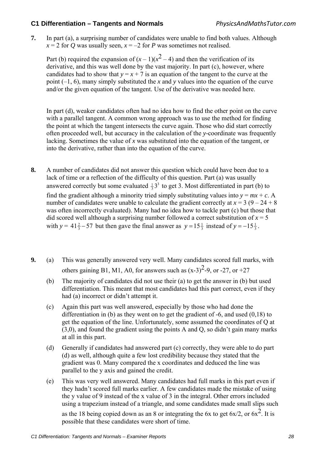**7.** In part (a), a surprising number of candidates were unable to find both values. Although  $x = 2$  for *Q* was usually seen,  $x = -2$  for *P* was sometimes not realised.

Part (b) required the expansion of  $(x - 1)(x^2 - 4)$  and then the verification of its derivative, and this was well done by the vast majority. In part (c), however, where candidates had to show that  $y = x + 7$  is an equation of the tangent to the curve at the point (–1, 6), many simply substituted the *x* and *y* values into the equation of the curve and/or the given equation of the tangent. Use of the derivative was needed here.

 In part (d), weaker candidates often had no idea how to find the other point on the curve with a parallel tangent. A common wrong approach was to use the method for finding the point at which the tangent intersects the curve again. Those who did start correctly often proceeded well, but accuracy in the calculation of the *y*-coordinate was frequently lacking. Sometimes the value of *x* was substituted into the equation of the tangent, or into the derivative, rather than into the equation of the curve.

- **8.** A number of candidates did not answer this question which could have been due to a lack of time or a reflection of the difficulty of this question. Part (a) was usually answered correctly but some evaluated  $\frac{1}{3}$  to get 3. Most differentiated in part (b) to find the gradient although a minority tried simply substituting values into  $y = mx + c$ . A number of candidates were unable to calculate the gradient correctly at  $x = 3 (9 - 24 + 8)$ was often incorrectly evaluated). Many had no idea how to tackle part (c) but those that did scored well although a surprising number followed a correct substitution of  $x = 5$ with  $y = 41\frac{2}{3} - 57$  but then gave the final answer as  $y = 15\frac{1}{3}$  instead of  $y = -15\frac{1}{3}$ .
- **9.** (a) This was generally answered very well. Many candidates scored full marks, with others gaining B1, M1, A0, for answers such as  $(x-3)^2-9$ , or  $-27$ , or  $+27$ 
	- (b) The majority of candidates did not use their (a) to get the answer in (b) but used differentiation. This meant that most candidates had this part correct, even if they had (a) incorrect or didn't attempt it.
	- (c) Again this part was well answered, especially by those who had done the differentiation in (b) as they went on to get the gradient of -6, and used (0,18) to get the equation of the line. Unfortunately, some assumed the coordinates of Q at (3,0), and found the gradient using the points A and Q, so didn't gain many marks at all in this part.
	- (d) Generally if candidates had answered part (c) correctly, they were able to do part (d) as well, although quite a few lost credibility because they stated that the gradient was 0. Many compared the x coordinates and deduced the line was parallel to the y axis and gained the credit.
	- (e) This was very well answered. Many candidates had full marks in this part even if they hadn't scored full marks earlier. A few candidates made the mistake of using the y value of 9 instead of the x value of 3 in the integral. Other errors included using a trapezium instead of a triangle, and some candidates made small slips such

as the 18 being copied down as an 8 or integrating the 6x to get  $6x/2$ , or  $6x^2$ . It is possible that these candidates were short of time.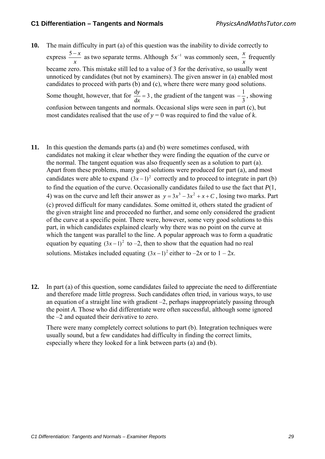- **10.** The main difficulty in part (a) of this question was the inability to divide correctly to express *x*  $\frac{5-x}{2}$  as two separate terms. Although  $5x^{-1}$  was commonly seen, *x*  $\frac{x}{x}$  frequently became zero. This mistake still led to a value of 3 for the derivative, so usually went unnoticed by candidates (but not by examiners). The given answer in (a) enabled most candidates to proceed with parts (b) and (c), where there were many good solutions. Some thought, however, that for  $\frac{dy}{1} = 3$  $\frac{dy}{dx}$  = 3, the gradient of the tangent was  $-\frac{1}{3}$ , showing confusion between tangents and normals. Occasional slips were seen in part (c), but most candidates realised that the use of  $y = 0$  was required to find the value of *k*.
- **11.** In this question the demands parts (a) and (b) were sometimes confused, with candidates not making it clear whether they were finding the equation of the curve or the normal. The tangent equation was also frequently seen as a solution to part (a). Apart from these problems, many good solutions were produced for part (a), and most candidates were able to expand  $(3x-1)^2$  correctly and to proceed to integrate in part (b) to find the equation of the curve. Occasionally candidates failed to use the fact that *P*(1, 4) was on the curve and left their answer as  $y = 3x^3 - 3x^2 + x + C$ , losing two marks. Part (c) proved difficult for many candidates. Some omitted it, others stated the gradient of the given straight line and proceeded no further, and some only considered the gradient of the curve at a specific point. There were, however, some very good solutions to this part, in which candidates explained clearly why there was no point on the curve at which the tangent was parallel to the line. A popular approach was to form a quadratic equation by equating  $(3x-1)^2$  to –2, then to show that the equation had no real solutions. Mistakes included equating  $(3x-1)^2$  either to −2*x* or to 1 – 2*x*.
- **12.** In part (a) of this question, some candidates failed to appreciate the need to differentiate and therefore made little progress. Such candidates often tried, in various ways, to use an equation of a straight line with gradient  $-2$ , perhaps inappropriately passing through the point *A*. Those who did differentiate were often successful, although some ignored the –2 and equated their derivative to zero.

There were many completely correct solutions to part (b). Integration techniques were usually sound, but a few candidates had difficulty in finding the correct limits, especially where they looked for a link between parts (a) and (b).